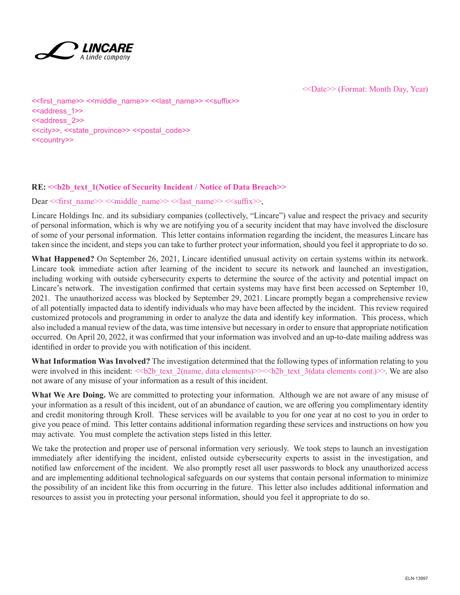

<<Date>> (Format: Month Day, Year)

<<first\_name>> <<middle\_name>> <<last\_name>> <<suffix>> <<aaddress\_1>> <<address\_2>> <<city>>, <<state\_province>> <<postal\_code>> <<country>>

#### **RE: <<br/>b>>** $\lambda$  text 1(Notice of Security Incident / Notice of Data Breach>>

Dear << first\_name>> <<middle\_name>> << last\_name>> << suffix>>,

Lincare Holdings Inc. and its subsidiary companies (collectively, "Lincare") value and respect the privacy and security of personal information, which is why we are notifying you of a security incident that may have involved the disclosure of some of your personal information. This letter contains information regarding the incident, the measures Lincare has taken since the incident, and steps you can take to further protect your information, should you feel it appropriate to do so.

**What Happened?** On September 26, 2021, Lincare identified unusual activity on certain systems within its network. Lincare took immediate action after learning of the incident to secure its network and launched an investigation, including working with outside cybersecurity experts to determine the source of the activity and potential impact on Lincare's network. The investigation confirmed that certain systems may have first been accessed on September 10, 2021. The unauthorized access was blocked by September 29, 2021. Lincare promptly began a comprehensive review of all potentially impacted data to identify individuals who may have been affected by the incident. This review required customized protocols and programming in order to analyze the data and identify key information. This process, which also included a manual review of the data, was time intensive but necessary in order to ensure that appropriate notification occurred. On April 20, 2022, it was confirmed that your information was involved and an up-to-date mailing address was identified in order to provide you with notification of this incident.

**What Information Was Involved?** The investigation determined that the following types of information relating to you were involved in this incident:  $\ll b2b$  text 2(name, data elements) $\gg$   $\ll b2b$  text 3(data elements cont.) $\gg$ . We are also not aware of any misuse of your information as a result of this incident.

**What We Are Doing.** We are committed to protecting your information. Although we are not aware of any misuse of your information as a result of this incident, out of an abundance of caution, we are offering you complimentary identity and credit monitoring through Kroll. These services will be available to you for one year at no cost to you in order to give you peace of mind. This letter contains additional information regarding these services and instructions on how you may activate. You must complete the activation steps listed in this letter.

We take the protection and proper use of personal information very seriously. We took steps to launch an investigation immediately after identifying the incident, enlisted outside cybersecurity experts to assist in the investigation, and notified law enforcement of the incident. We also promptly reset all user passwords to block any unauthorized access and are implementing additional technological safeguards on our systems that contain personal information to minimize the possibility of an incident like this from occurring in the future. This letter also includes additional information and resources to assist you in protecting your personal information, should you feel it appropriate to do so.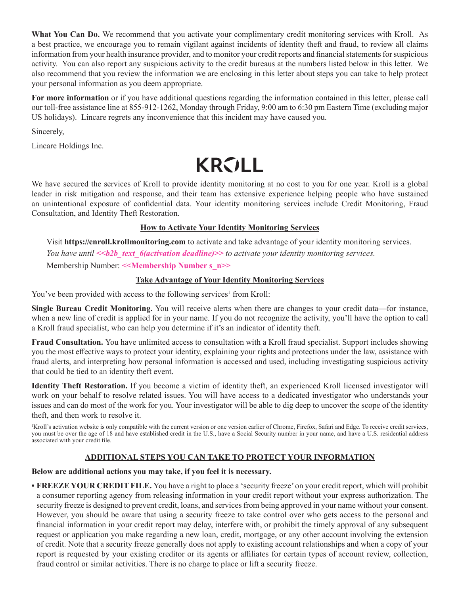**What You Can Do.** We recommend that you activate your complimentary credit monitoring services with Kroll. As a best practice, we encourage you to remain vigilant against incidents of identity theft and fraud, to review all claims information from your health insurance provider, and to monitor your credit reports and financial statements for suspicious activity. You can also report any suspicious activity to the credit bureaus at the numbers listed below in this letter. We also recommend that you review the information we are enclosing in this letter about steps you can take to help protect your personal information as you deem appropriate.

**For more information** or if you have additional questions regarding the information contained in this letter, please call our toll-free assistance line at 855-912-1262, Monday through Friday, 9:00 am to 6:30 pm Eastern Time (excluding major US holidays). Lincare regrets any inconvenience that this incident may have caused you.

Sincerely,

Lincare Holdings Inc.

# **KROLL**

We have secured the services of Kroll to provide identity monitoring at no cost to you for one year. Kroll is a global leader in risk mitigation and response, and their team has extensive experience helping people who have sustained an unintentional exposure of confidential data. Your identity monitoring services include Credit Monitoring, Fraud Consultation, and Identity Theft Restoration.

### **How to Activate Your Identity Monitoring Services**

Visit **https://enroll.krollmonitoring.com** to activate and take advantage of your identity monitoring services. *You have until <<b2b\_text\_6(activation deadline)>> to activate your identity monitoring services.* Membership Number: <<**Membership Number s\_n>>** 

### **Take Advantage of Your Identity Monitoring Services**

You've been provided with access to the following services<sup>1</sup> from Kroll:

**Single Bureau Credit Monitoring.** You will receive alerts when there are changes to your credit data—for instance, when a new line of credit is applied for in your name. If you do not recognize the activity, you'll have the option to call a Kroll fraud specialist, who can help you determine if it's an indicator of identity theft.

**Fraud Consultation.** You have unlimited access to consultation with a Kroll fraud specialist. Support includes showing you the most effective ways to protect your identity, explaining your rights and protections under the law, assistance with fraud alerts, and interpreting how personal information is accessed and used, including investigating suspicious activity that could be tied to an identity theft event.

**Identity Theft Restoration.** If you become a victim of identity theft, an experienced Kroll licensed investigator will work on your behalf to resolve related issues. You will have access to a dedicated investigator who understands your issues and can do most of the work for you. Your investigator will be able to dig deep to uncover the scope of the identity theft, and then work to resolve it.

Kroll's activation website is only compatible with the current version or one version earlier of Chrome, Firefox, Safari and Edge. To receive credit services, you must be over the age of 18 and have established credit in the U.S., have a Social Security number in your name, and have a U.S. residential address associated with your credit file.

## **ADDITIONAL STEPS YOU CAN TAKE TO PROTECT YOUR INFORMATION**

#### **Below are additional actions you may take, if you feel it is necessary.**

**• FREEZE YOUR CREDIT FILE.** You have a right to place a 'security freeze' on your credit report, which will prohibit a consumer reporting agency from releasing information in your credit report without your express authorization. The security freeze is designed to prevent credit, loans, and services from being approved in your name without your consent. However, you should be aware that using a security freeze to take control over who gets access to the personal and financial information in your credit report may delay, interfere with, or prohibit the timely approval of any subsequent request or application you make regarding a new loan, credit, mortgage, or any other account involving the extension of credit. Note that a security freeze generally does not apply to existing account relationships and when a copy of your report is requested by your existing creditor or its agents or affiliates for certain types of account review, collection, fraud control or similar activities. There is no charge to place or lift a security freeze.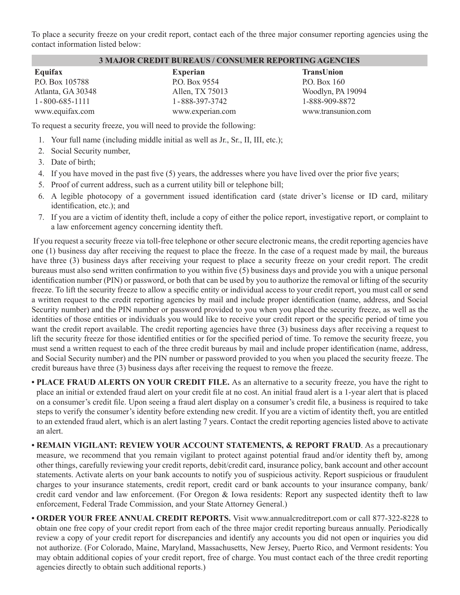To place a security freeze on your credit report, contact each of the three major consumer reporting agencies using the contact information listed below:

#### **3 MAJOR CREDIT BUREAUS / CONSUMER REPORTING AGENCIES**

| Equifax                |
|------------------------|
| P.O. Box 105788        |
| Atlanta, GA 30348      |
| $1 - 800 - 685 - 1111$ |
| www.equifax.com        |

**Experian** P.O. Box 9554 Allen, TX 75013 1-888-397-3742 www.experian.com **TransUnion** P.O. Box 160 Woodlyn, PA 19094 1-888-909-8872 www.transunion.com

To request a security freeze, you will need to provide the following:

- 1. Your full name (including middle initial as well as Jr., Sr., II, III, etc.);
- 2. Social Security number,
- 3. Date of birth;
- 4. If you have moved in the past five (5) years, the addresses where you have lived over the prior five years;
- 5. Proof of current address, such as a current utility bill or telephone bill;
- 6. A legible photocopy of a government issued identification card (state driver's license or ID card, military identification, etc.); and
- 7. If you are a victim of identity theft, include a copy of either the police report, investigative report, or complaint to a law enforcement agency concerning identity theft.

 If you request a security freeze via toll-free telephone or other secure electronic means, the credit reporting agencies have one (1) business day after receiving the request to place the freeze. In the case of a request made by mail, the bureaus have three (3) business days after receiving your request to place a security freeze on your credit report. The credit bureaus must also send written confirmation to you within five (5) business days and provide you with a unique personal identification number (PIN) or password, or both that can be used by you to authorize the removal or lifting of the security freeze. To lift the security freeze to allow a specific entity or individual access to your credit report, you must call or send a written request to the credit reporting agencies by mail and include proper identification (name, address, and Social Security number) and the PIN number or password provided to you when you placed the security freeze, as well as the identities of those entities or individuals you would like to receive your credit report or the specific period of time you want the credit report available. The credit reporting agencies have three (3) business days after receiving a request to lift the security freeze for those identified entities or for the specified period of time. To remove the security freeze, you must send a written request to each of the three credit bureaus by mail and include proper identification (name, address, and Social Security number) and the PIN number or password provided to you when you placed the security freeze. The credit bureaus have three (3) business days after receiving the request to remove the freeze.

**• PLACE FRAUD ALERTS ON YOUR CREDIT FILE.** As an alternative to a security freeze, you have the right to place an initial or extended fraud alert on your credit file at no cost. An initial fraud alert is a 1-year alert that is placed on a consumer's credit file. Upon seeing a fraud alert display on a consumer's credit file, a business is required to take steps to verify the consumer's identity before extending new credit. If you are a victim of identity theft, you are entitled to an extended fraud alert, which is an alert lasting 7 years. Contact the credit reporting agencies listed above to activate an alert.

- **REMAIN VIGILANT: REVIEW YOUR ACCOUNT STATEMENTS, & REPORT FRAUD**. As a precautionary measure, we recommend that you remain vigilant to protect against potential fraud and/or identity theft by, among other things, carefully reviewing your credit reports, debit/credit card, insurance policy, bank account and other account statements. Activate alerts on your bank accounts to notify you of suspicious activity. Report suspicious or fraudulent charges to your insurance statements, credit report, credit card or bank accounts to your insurance company, bank/ credit card vendor and law enforcement. (For Oregon & Iowa residents: Report any suspected identity theft to law enforcement, Federal Trade Commission, and your State Attorney General.)
- **ORDER YOUR FREE ANNUAL CREDIT REPORTS.** Visit www.annualcreditreport.com or call 877-322-8228 to obtain one free copy of your credit report from each of the three major credit reporting bureaus annually. Periodically review a copy of your credit report for discrepancies and identify any accounts you did not open or inquiries you did not authorize. (For Colorado, Maine, Maryland, Massachusetts, New Jersey, Puerto Rico, and Vermont residents: You may obtain additional copies of your credit report, free of charge. You must contact each of the three credit reporting agencies directly to obtain such additional reports.)